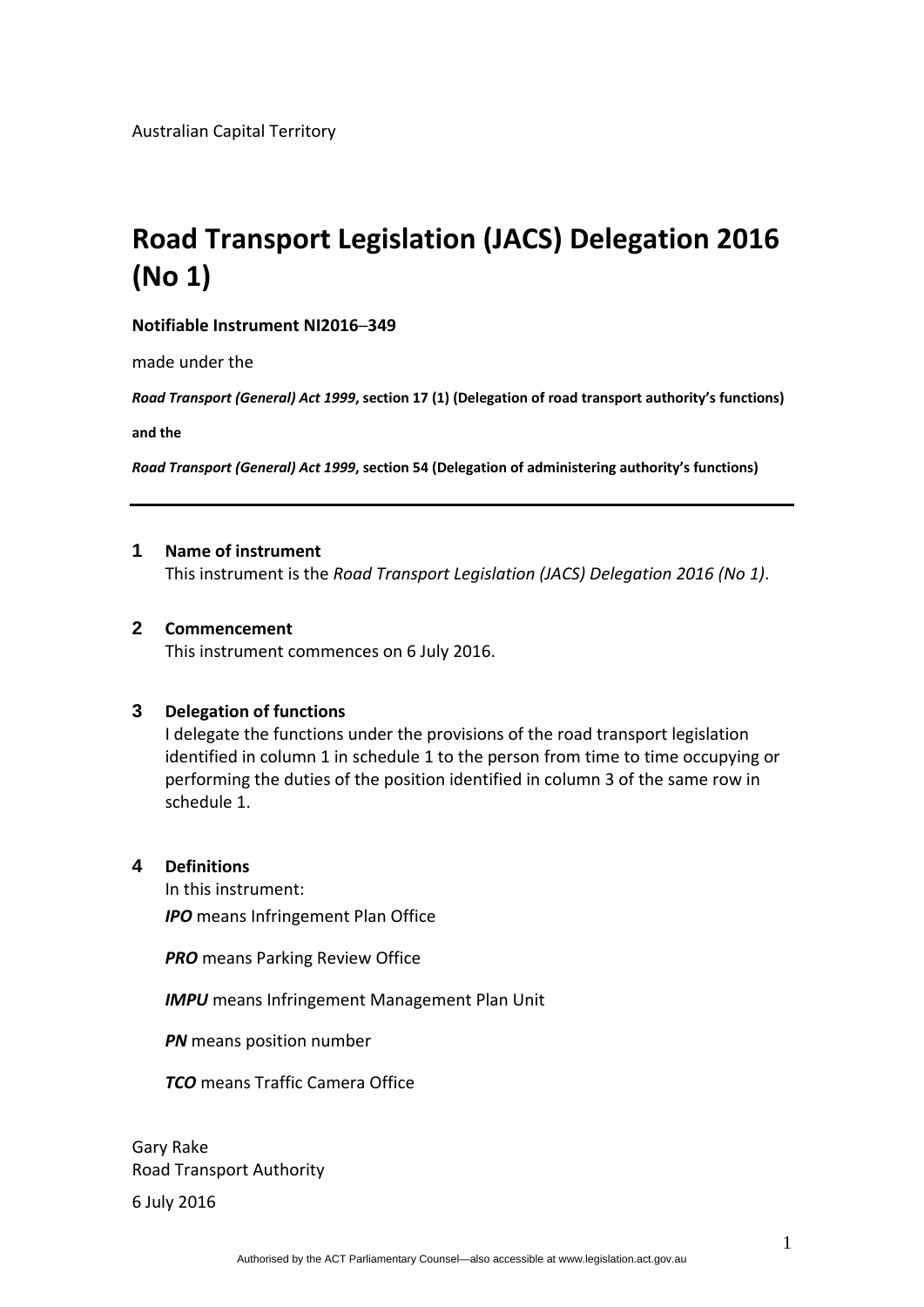#### **Notifiable Instrument NI2016─349**

made under the

*Road Transport (General) Act 1999***, section 17 (1) (Delegation of road transport authority's functions)**

**and the**

*Road Transport (General) Act 1999***, section 54 (Delegation of administering authority's functions)**

#### **1 Name of instrument**

This instrument is the *Road Transport Legislation (JACS) Delegation 2016 (No 1)*.

#### **2 Commencement**

This instrument commences on 6 July 2016.

#### **3 Delegation of functions**

I delegate the functions under the provisions of the road transport legislation identified in column 1 in schedule 1 to the person from time to time occupying or performing the duties of the position identified in column 3 of the same row in schedule 1.

#### **4 Definitions**

In this instrument: *IPO* means Infringement Plan Office

**PRO** means Parking Review Office

**IMPU** means Infringement Management Plan Unit

*PN* means position number

*TCO* means Traffic Camera Office

Gary Rake Road Transport Authority

6 July 2016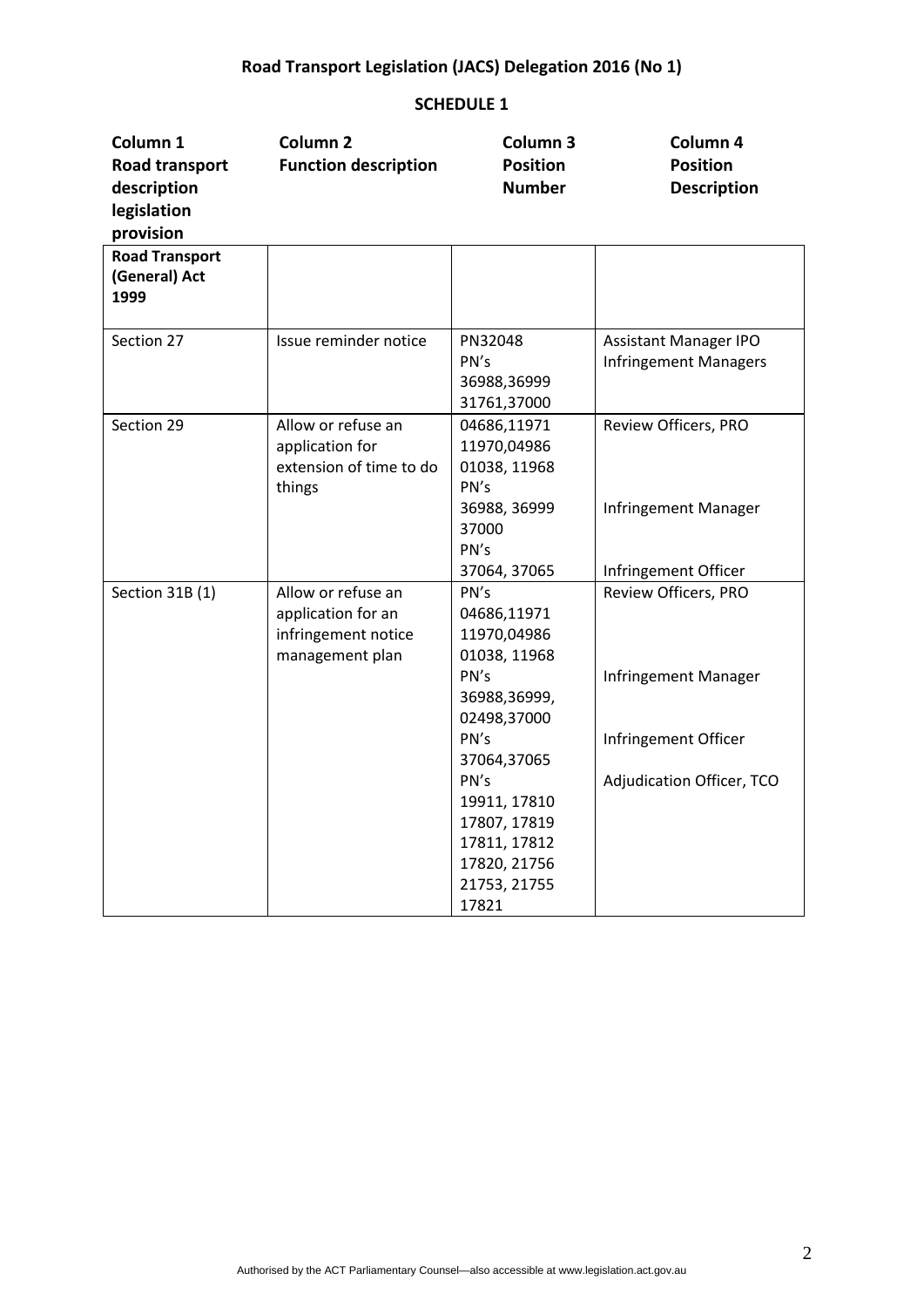| Column <sub>1</sub><br>Road transport<br>description<br>legislation | Column <sub>2</sub><br><b>Function description</b>                                 | Column <sub>3</sub><br><b>Position</b><br><b>Number</b>                                                      | Column 4<br><b>Position</b><br><b>Description</b>            |
|---------------------------------------------------------------------|------------------------------------------------------------------------------------|--------------------------------------------------------------------------------------------------------------|--------------------------------------------------------------|
| provision<br><b>Road Transport</b><br>(General) Act<br>1999         |                                                                                    |                                                                                                              |                                                              |
| Section 27                                                          | Issue reminder notice                                                              | PN32048<br>PN's<br>36988,36999<br>31761,37000                                                                | <b>Assistant Manager IPO</b><br><b>Infringement Managers</b> |
| Section 29                                                          | Allow or refuse an<br>application for<br>extension of time to do<br>things         | 04686,11971<br>11970,04986<br>01038, 11968<br>PN's<br>36988, 36999<br>37000<br>PN's                          | Review Officers, PRO<br>Infringement Manager                 |
|                                                                     |                                                                                    | 37064, 37065                                                                                                 | Infringement Officer                                         |
| Section 31B (1)                                                     | Allow or refuse an<br>application for an<br>infringement notice<br>management plan | PN's<br>04686,11971<br>11970,04986<br>01038, 11968                                                           | Review Officers, PRO                                         |
|                                                                     |                                                                                    | PN's<br>36988,36999,<br>02498,37000<br>PN's                                                                  | Infringement Manager<br>Infringement Officer                 |
|                                                                     |                                                                                    | 37064,37065<br>PN's<br>19911, 17810<br>17807, 17819<br>17811, 17812<br>17820, 21756<br>21753, 21755<br>17821 | Adjudication Officer, TCO                                    |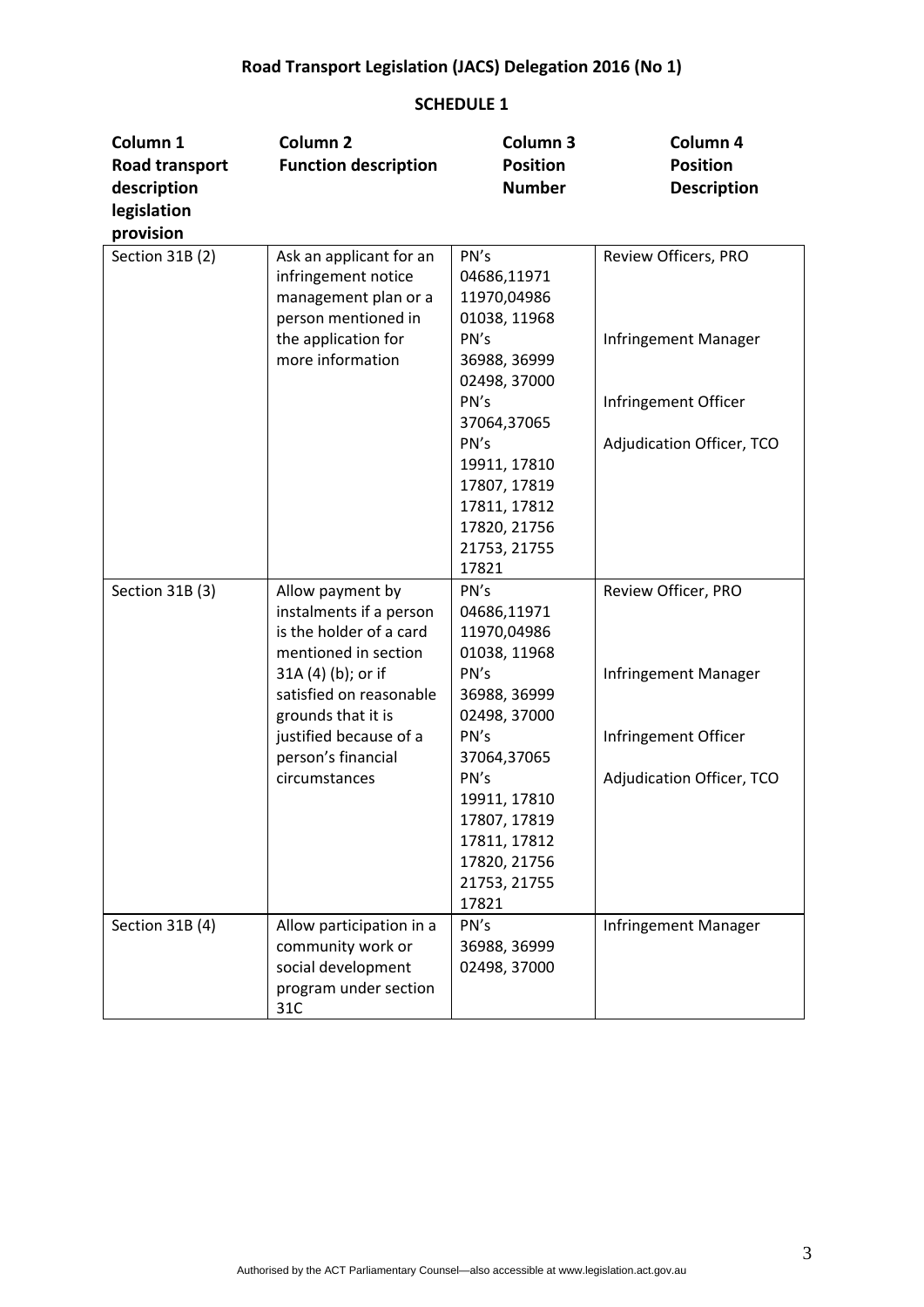| Column 1<br>Road transport<br>description<br>legislation | Column <sub>2</sub><br><b>Function description</b>                                                                   | Column <sub>3</sub><br><b>Position</b><br><b>Number</b>                                       | Column 4<br><b>Position</b><br><b>Description</b> |
|----------------------------------------------------------|----------------------------------------------------------------------------------------------------------------------|-----------------------------------------------------------------------------------------------|---------------------------------------------------|
| provision                                                |                                                                                                                      |                                                                                               |                                                   |
| Section 31B (2)                                          | Ask an applicant for an<br>infringement notice<br>management plan or a<br>person mentioned in<br>the application for | PN's<br>04686,11971<br>11970,04986<br>01038, 11968<br>PN's                                    | Review Officers, PRO<br>Infringement Manager      |
|                                                          | more information                                                                                                     | 36988, 36999<br>02498, 37000                                                                  |                                                   |
|                                                          |                                                                                                                      | PN's<br>37064,37065                                                                           | Infringement Officer                              |
|                                                          |                                                                                                                      | PN's<br>19911, 17810<br>17807, 17819<br>17811, 17812<br>17820, 21756<br>21753, 21755<br>17821 | Adjudication Officer, TCO                         |
| Section 31B (3)                                          | Allow payment by<br>instalments if a person<br>is the holder of a card<br>mentioned in section<br>31A (4) (b); or if | PN's<br>04686,11971<br>11970,04986<br>01038, 11968<br>PN's                                    | Review Officer, PRO<br>Infringement Manager       |
|                                                          | satisfied on reasonable<br>grounds that it is                                                                        | 36988, 36999<br>02498, 37000                                                                  |                                                   |
|                                                          | justified because of a<br>person's financial                                                                         | PN's<br>37064,37065                                                                           | Infringement Officer                              |
|                                                          | circumstances                                                                                                        | PN's<br>19911, 17810<br>17807, 17819<br>17811, 17812<br>17820, 21756<br>21753, 21755<br>17821 | Adjudication Officer, TCO                         |
| Section 31B (4)                                          | Allow participation in a<br>community work or<br>social development<br>program under section<br>31C                  | PN's<br>36988, 36999<br>02498, 37000                                                          | Infringement Manager                              |
|                                                          |                                                                                                                      |                                                                                               |                                                   |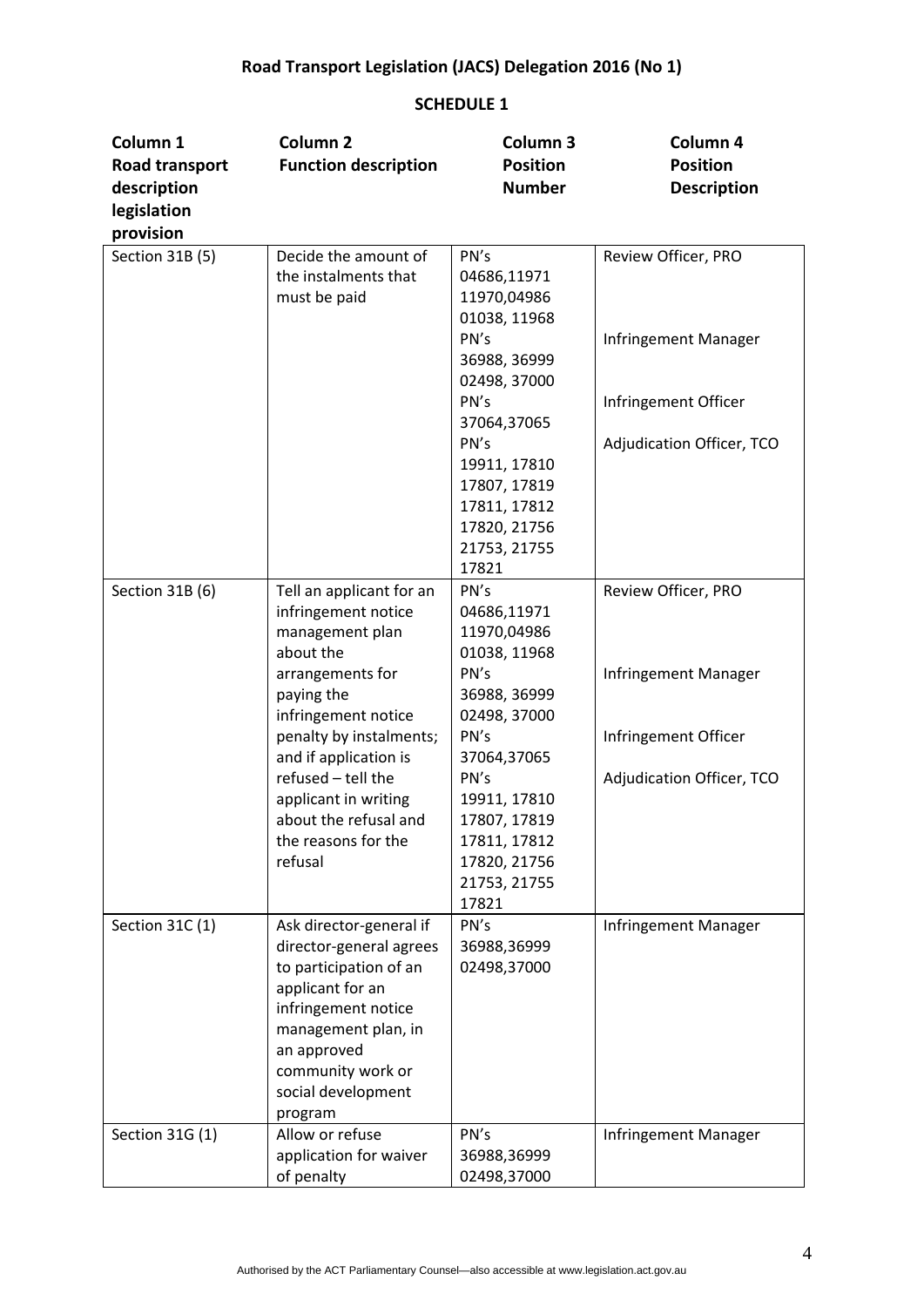| Column 1        | Column <sub>2</sub>                               | Column 3                     | Column 4                  |
|-----------------|---------------------------------------------------|------------------------------|---------------------------|
| Road transport  | <b>Function description</b>                       | <b>Position</b>              | <b>Position</b>           |
| description     |                                                   | <b>Number</b>                | <b>Description</b>        |
| legislation     |                                                   |                              |                           |
| provision       |                                                   |                              |                           |
| Section 31B (5) | Decide the amount of                              | PN's                         | Review Officer, PRO       |
|                 | the instalments that                              | 04686,11971                  |                           |
|                 | must be paid                                      | 11970,04986                  |                           |
|                 |                                                   | 01038, 11968                 |                           |
|                 |                                                   | PN's                         | Infringement Manager      |
|                 |                                                   | 36988, 36999                 |                           |
|                 |                                                   | 02498, 37000                 |                           |
|                 |                                                   | PN's                         | Infringement Officer      |
|                 |                                                   | 37064,37065                  |                           |
|                 |                                                   | PN's                         | Adjudication Officer, TCO |
|                 |                                                   | 19911, 17810                 |                           |
|                 |                                                   | 17807, 17819                 |                           |
|                 |                                                   | 17811, 17812                 |                           |
|                 |                                                   | 17820, 21756<br>21753, 21755 |                           |
|                 |                                                   | 17821                        |                           |
| Section 31B (6) | Tell an applicant for an                          | PN's                         | Review Officer, PRO       |
|                 | infringement notice                               | 04686,11971                  |                           |
|                 | management plan                                   | 11970,04986                  |                           |
|                 | about the                                         | 01038, 11968                 |                           |
|                 | arrangements for                                  | PN's                         | Infringement Manager      |
|                 | paying the                                        | 36988, 36999                 |                           |
|                 | infringement notice                               | 02498, 37000                 |                           |
|                 | penalty by instalments;                           | PN's                         | Infringement Officer      |
|                 | and if application is                             | 37064,37065                  |                           |
|                 | refused - tell the                                | PN's                         | Adjudication Officer, TCO |
|                 | applicant in writing                              | 19911, 17810                 |                           |
|                 | about the refusal and                             | 17807, 17819                 |                           |
|                 | the reasons for the                               | 17811, 17812                 |                           |
|                 | refusal                                           | 17820, 21756                 |                           |
|                 |                                                   | 21753, 21755                 |                           |
|                 |                                                   | 17821                        |                           |
| Section 31C (1) | Ask director-general if                           | PN's<br>36988,36999          | Infringement Manager      |
|                 | director-general agrees<br>to participation of an | 02498,37000                  |                           |
|                 | applicant for an                                  |                              |                           |
|                 | infringement notice                               |                              |                           |
|                 | management plan, in                               |                              |                           |
|                 | an approved                                       |                              |                           |
|                 | community work or                                 |                              |                           |
|                 | social development                                |                              |                           |
|                 | program                                           |                              |                           |
| Section 31G (1) | Allow or refuse                                   | PN's                         | Infringement Manager      |
|                 | application for waiver                            | 36988,36999                  |                           |
|                 | of penalty                                        | 02498,37000                  |                           |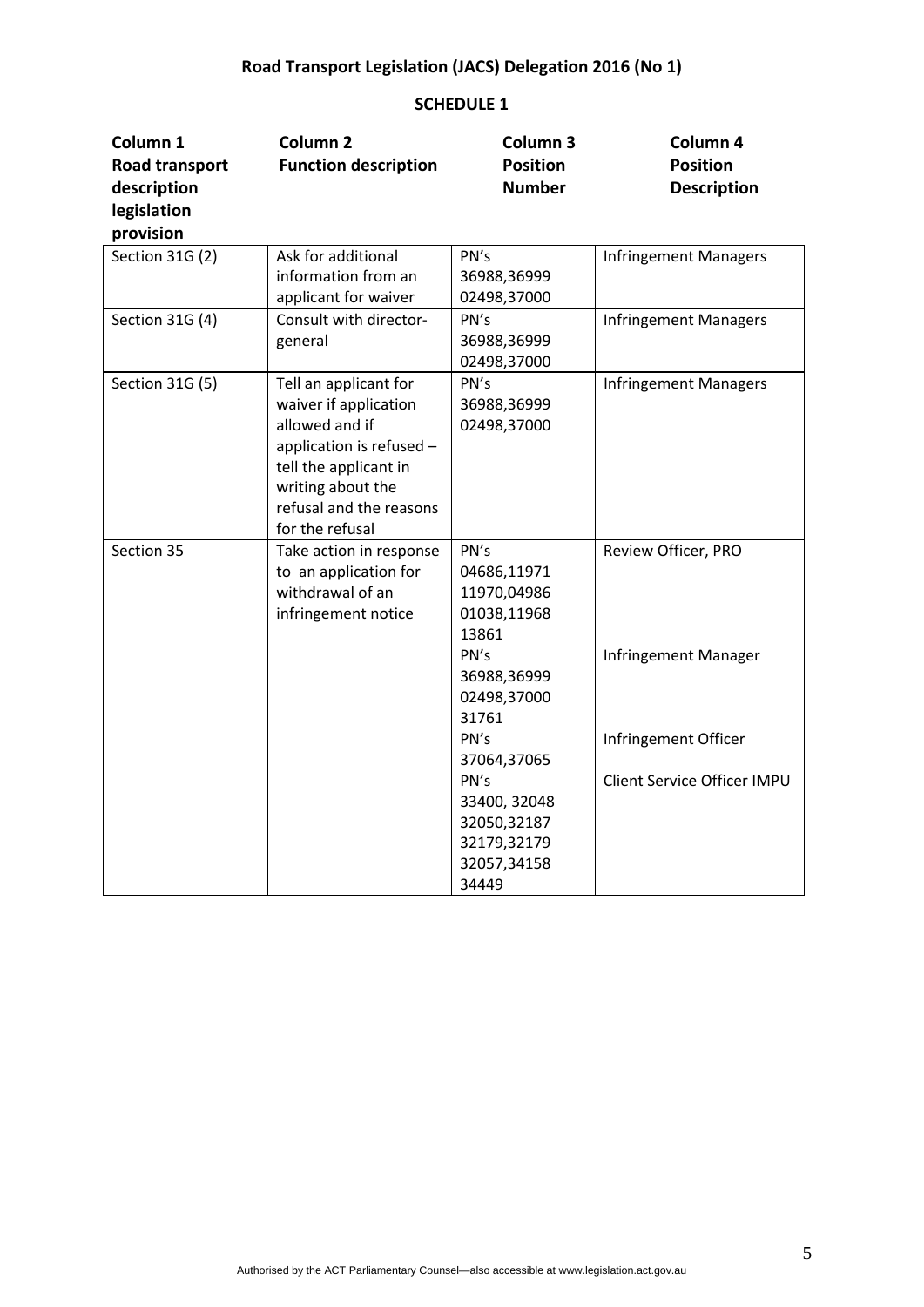| Column 1<br>Road transport<br>description<br>legislation | Column <sub>2</sub><br><b>Function description</b>                                                                                                                                       | Column <sub>3</sub><br><b>Position</b><br><b>Number</b>                                                                                                                                                        | Column 4<br><b>Position</b><br><b>Description</b>                                                  |
|----------------------------------------------------------|------------------------------------------------------------------------------------------------------------------------------------------------------------------------------------------|----------------------------------------------------------------------------------------------------------------------------------------------------------------------------------------------------------------|----------------------------------------------------------------------------------------------------|
| provision                                                |                                                                                                                                                                                          |                                                                                                                                                                                                                |                                                                                                    |
| Section 31G (2)                                          | Ask for additional<br>information from an<br>applicant for waiver                                                                                                                        | PN's<br>36988,36999<br>02498,37000                                                                                                                                                                             | <b>Infringement Managers</b>                                                                       |
| Section 31G (4)                                          | Consult with director-<br>general                                                                                                                                                        | PN's<br>36988,36999<br>02498,37000                                                                                                                                                                             | <b>Infringement Managers</b>                                                                       |
| Section 31G (5)                                          | Tell an applicant for<br>waiver if application<br>allowed and if<br>application is refused -<br>tell the applicant in<br>writing about the<br>refusal and the reasons<br>for the refusal | PN's<br>36988,36999<br>02498,37000                                                                                                                                                                             | <b>Infringement Managers</b>                                                                       |
| Section 35                                               | Take action in response<br>to an application for<br>withdrawal of an<br>infringement notice                                                                                              | PN's<br>04686,11971<br>11970,04986<br>01038,11968<br>13861<br>PN's<br>36988,36999<br>02498,37000<br>31761<br>PN's<br>37064,37065<br>PN's<br>33400, 32048<br>32050,32187<br>32179,32179<br>32057,34158<br>34449 | Review Officer, PRO<br>Infringement Manager<br>Infringement Officer<br>Client Service Officer IMPU |